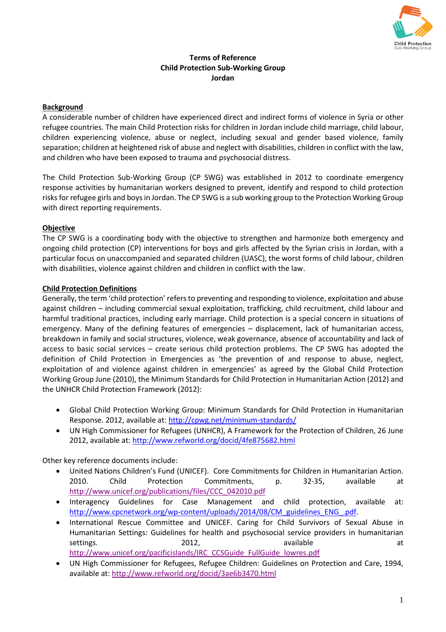

# **Terms of Reference Child Protection Sub-Working Group Jordan**

# **Background**

A considerable number of children have experienced direct and indirect forms of violence in Syria or other refugee countries. The main Child Protection risks for children in Jordan include child marriage, child labour, children experiencing violence, abuse or neglect, including sexual and gender based violence, family separation; children at heightened risk of abuse and neglect with disabilities, children in conflict with the law, and children who have been exposed to trauma and psychosocial distress.

The Child Protection Sub-Working Group (CP SWG) was established in 2012 to coordinate emergency response activities by humanitarian workers designed to prevent, identify and respond to child protection risksfor refugee girls and boys in Jordan. The CP SWG is a sub working group to the Protection Working Group with direct reporting requirements.

## **Objective**

The CP SWG is a coordinating body with the objective to strengthen and harmonize both emergency and ongoing child protection (CP) interventions for boys and girls affected by the Syrian crisis in Jordan, with a particular focus on unaccompanied and separated children (UASC), the worst forms of child labour, children with disabilities, violence against children and children in conflict with the law.

## **Child Protection Definitions**

Generally, the term 'child protection' refers to preventing and responding to violence, exploitation and abuse against children – including commercial sexual exploitation, trafficking, child recruitment, child labour and harmful traditional practices, including early marriage. Child protection is a special concern in situations of emergency. Many of the defining features of emergencies – displacement, lack of humanitarian access, breakdown in family and social structures, violence, weak governance, absence of accountability and lack of access to basic social services – create serious child protection problems. The CP SWG has adopted the definition of Child Protection in Emergencies as 'the prevention of and response to abuse, neglect, exploitation of and violence against children in emergencies' as agreed by the Global Child Protection Working Group June (2010), the Minimum Standards for Child Protection in Humanitarian Action (2012) and the UNHCR Child Protection Framework (2012):

- Global Child Protection Working Group: Minimum Standards for Child Protection in Humanitarian Response. 2012, available at:<http://cpwg.net/minimum-standards/>
- UN High Commissioner for Refugees (UNHCR), A Framework for the Protection of Children, 26 June 2012, available at[: http://www.refworld.org/docid/4fe875682.html](http://www.refworld.org/docid/4fe875682.html)

Other key reference documents include:

- United Nations Children's Fund (UNICEF). Core Commitments for Children in Humanitarian Action. 2010. Child Protection Commitments, p. 32-35, available at [http://www.unicef.org/publications/files/CCC\\_042010.pdf](http://www.unicef.org/publications/files/CCC_042010.pdf)
- Interagency Guidelines for Case Management and child protection, available at: [http://www.cpcnetwork.org/wp-content/uploads/2014/08/CM\\_guidelines\\_ENG\\_.pdf.](http://www.cpcnetwork.org/wp-content/uploads/2014/08/CM_guidelines_ENG_.pdf)
- International Rescue Committee and UNICEF. Caring for Child Survivors of Sexual Abuse in Humanitarian Settings: Guidelines for health and psychosocial service providers in humanitarian settings. The contract of the 2012, and the contract and a contract at the contract at the contract at a contra [http://www.unicef.org/pacificislands/IRC\\_CCSGuide\\_FullGuide\\_lowres.pdf](http://www.unicef.org/pacificislands/IRC_CCSGuide_FullGuide_lowres.pdf)
- UN High Commissioner for Refugees, Refugee Children: Guidelines on Protection and Care, 1994, available at:<http://www.refworld.org/docid/3ae6b3470.html>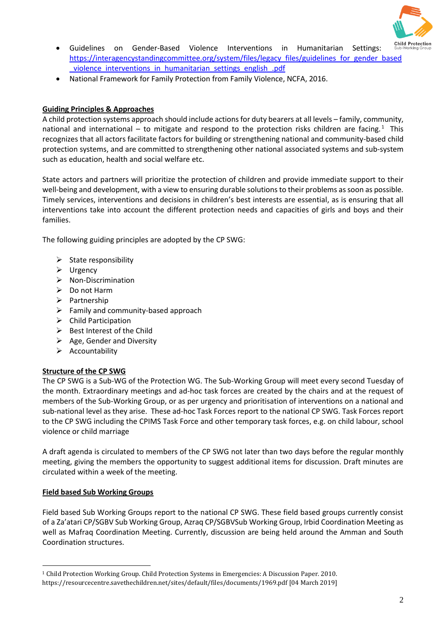

- Guidelines on Gender-Based Violence Interventions in Humanitarian Settings: https://interagencystandingcommittee.org/system/files/legacy\_files/guidelines\_for\_gender\_based \_violence\_interventions\_in\_humanitarian\_settings\_english\_.pdf
- National Framework for Family Protection from Family Violence, NCFA, 2016.

## **Guiding Principles & Approaches**

A child protection systems approach should include actions for duty bearers at all levels – family, community, national and international – to mitigate and respond to the protection risks children are facing.<sup>1</sup> This recognizes that all actors facilitate factors for building or strengthening national and community-based child protection systems, and are committed to strengthening other national associated systems and sub-system such as education, health and social welfare etc.

State actors and partners will prioritize the protection of children and provide immediate support to their well-being and development, with a view to ensuring durable solutions to their problems as soon as possible. Timely services, interventions and decisions in children's best interests are essential, as is ensuring that all interventions take into account the different protection needs and capacities of girls and boys and their families.

The following guiding principles are adopted by the CP SWG:

- $\triangleright$  State responsibility
- $\triangleright$  Urgency
- $\triangleright$  Non-Discrimination
- ▶ Do not Harm
- $\triangleright$  Partnership
- $\triangleright$  Family and community-based approach
- $\triangleright$  Child Participation
- $\triangleright$  Best Interest of the Child
- $\triangleright$  Age, Gender and Diversity
- $\triangleright$  Accountability

## **Structure of the CP SWG**

The CP SWG is a Sub-WG of the Protection WG. The Sub-Working Group will meet every second Tuesday of the month. Extraordinary meetings and ad-hoc task forces are created by the chairs and at the request of members of the Sub-Working Group, or as per urgency and prioritisation of interventions on a national and sub-national level as they arise. These ad-hoc Task Forces report to the national CP SWG. Task Forces report to the CP SWG including the CPIMS Task Force and other temporary task forces, e.g. on child labour, school violence or child marriage

A draft agenda is circulated to members of the CP SWG not later than two days before the regular monthly meeting, giving the members the opportunity to suggest additional items for discussion. Draft minutes are circulated within a week of the meeting.

## **Field based Sub Working Groups**

 $\overline{\phantom{a}}$ 

Field based Sub Working Groups report to the national CP SWG. These field based groups currently consist of a Za'atari CP/SGBV Sub Working Group, Azraq CP/SGBVSub Working Group, Irbid Coordination Meeting as well as Mafraq Coordination Meeting. Currently, discussion are being held around the Amman and South Coordination structures.

<sup>1</sup> Child Protection Working Group. Child Protection Systems in Emergencies: A Discussion Paper. 2010.

https://resourcecentre.savethechildren.net/sites/default/files/documents/1969.pdf [04 March 2019]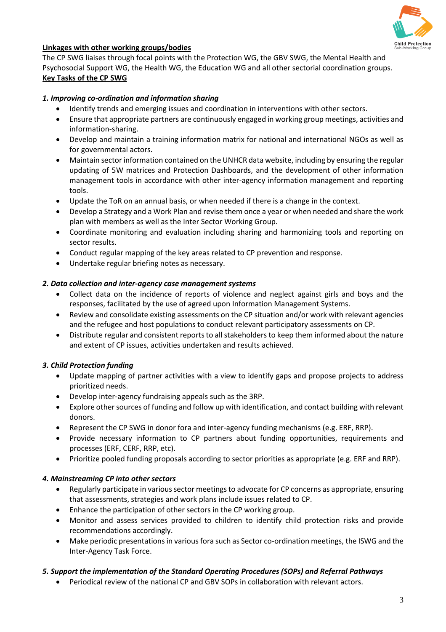

# **Linkages with other working groups/bodies**

The CP SWG liaises through focal points with the Protection WG, the GBV SWG, the Mental Health and Psychosocial Support WG, the Health WG, the Education WG and all other sectorial coordination groups. **Key Tasks of the CP SWG** 

## *1. Improving co-ordination and information sharing*

- Identify trends and emerging issues and coordination in interventions with other sectors.
- Ensure that appropriate partners are continuously engaged in working group meetings, activities and information-sharing.
- Develop and maintain a training information matrix for national and international NGOs as well as for governmental actors.
- Maintain sector information contained on the UNHCR data website, including by ensuring the regular updating of 5W matrices and Protection Dashboards, and the development of other information management tools in accordance with other inter-agency information management and reporting tools.
- Update the ToR on an annual basis, or when needed if there is a change in the context.
- Develop a Strategy and a Work Plan and revise them once a year or when needed and share the work plan with members as well as the Inter Sector Working Group.
- Coordinate monitoring and evaluation including sharing and harmonizing tools and reporting on sector results.
- Conduct regular mapping of the key areas related to CP prevention and response.
- Undertake regular briefing notes as necessary.

### *2. Data collection and inter-agency case management systems*

- Collect data on the incidence of reports of violence and neglect against girls and boys and the responses, facilitated by the use of agreed upon Information Management Systems.
- Review and consolidate existing assessments on the CP situation and/or work with relevant agencies and the refugee and host populations to conduct relevant participatory assessments on CP.
- Distribute regular and consistent reports to all stakeholders to keep them informed about the nature and extent of CP issues, activities undertaken and results achieved.

## *3. Child Protection funding*

- Update mapping of partner activities with a view to identify gaps and propose projects to address prioritized needs.
- Develop inter-agency fundraising appeals such as the 3RP.
- Explore other sources of funding and follow up with identification, and contact building with relevant donors.
- Represent the CP SWG in donor fora and inter-agency funding mechanisms (e.g. ERF, RRP).
- Provide necessary information to CP partners about funding opportunities, requirements and processes (ERF, CERF, RRP, etc).
- Prioritize pooled funding proposals according to sector priorities as appropriate (e.g. ERF and RRP).

#### *4. Mainstreaming CP into other sectors*

- Regularly participate in various sector meetings to advocate for CP concerns as appropriate, ensuring that assessments, strategies and work plans include issues related to CP.
- Enhance the participation of other sectors in the CP working group.
- Monitor and assess services provided to children to identify child protection risks and provide recommendations accordingly.
- Make periodic presentations in various fora such as Sector co-ordination meetings, the ISWG and the Inter-Agency Task Force.

## *5. Support the implementation of the Standard Operating Procedures (SOPs) and Referral Pathways*

Periodical review of the national CP and GBV SOPs in collaboration with relevant actors.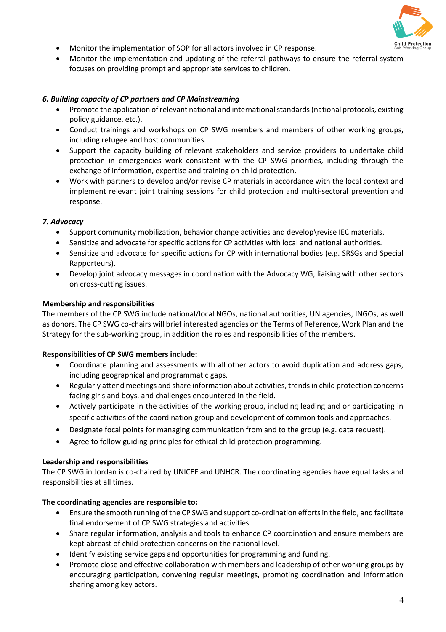

- Monitor the implementation of SOP for all actors involved in CP response.
- Monitor the implementation and updating of the referral pathways to ensure the referral system focuses on providing prompt and appropriate services to children.

### *6. Building capacity of CP partners and CP Mainstreaming*

- Promote the application of relevant national and international standards (national protocols, existing policy guidance, etc.).
- Conduct trainings and workshops on CP SWG members and members of other working groups, including refugee and host communities.
- Support the capacity building of relevant stakeholders and service providers to undertake child protection in emergencies work consistent with the CP SWG priorities, including through the exchange of information, expertise and training on child protection.
- Work with partners to develop and/or revise CP materials in accordance with the local context and implement relevant joint training sessions for child protection and multi-sectoral prevention and response.

### *7. Advocacy*

- Support community mobilization, behavior change activities and develop\revise IEC materials.
- Sensitize and advocate for specific actions for CP activities with local and national authorities.
- Sensitize and advocate for specific actions for CP with international bodies (e.g. SRSGs and Special Rapporteurs).
- Develop joint advocacy messages in coordination with the Advocacy WG, liaising with other sectors on cross-cutting issues.

### **Membership and responsibilities**

The members of the CP SWG include national/local NGOs, national authorities, UN agencies, INGOs, as well as donors. The CP SWG co-chairs will brief interested agencies on the Terms of Reference, Work Plan and the Strategy for the sub-working group, in addition the roles and responsibilities of the members.

#### **Responsibilities of CP SWG members include:**

- Coordinate planning and assessments with all other actors to avoid duplication and address gaps, including geographical and programmatic gaps.
- Regularly attend meetings and share information about activities, trends in child protection concerns facing girls and boys, and challenges encountered in the field.
- Actively participate in the activities of the working group, including leading and or participating in specific activities of the coordination group and development of common tools and approaches.
- Designate focal points for managing communication from and to the group (e.g. data request).
- Agree to follow guiding principles for ethical child protection programming.

#### **Leadership and responsibilities**

The CP SWG in Jordan is co-chaired by UNICEF and UNHCR. The coordinating agencies have equal tasks and responsibilities at all times.

#### **The coordinating agencies are responsible to:**

- Ensure the smooth running of the CP SWG and support co-ordination efforts in the field, and facilitate final endorsement of CP SWG strategies and activities.
- Share regular information, analysis and tools to enhance CP coordination and ensure members are kept abreast of child protection concerns on the national level.
- Identify existing service gaps and opportunities for programming and funding.
- Promote close and effective collaboration with members and leadership of other working groups by encouraging participation, convening regular meetings, promoting coordination and information sharing among key actors.